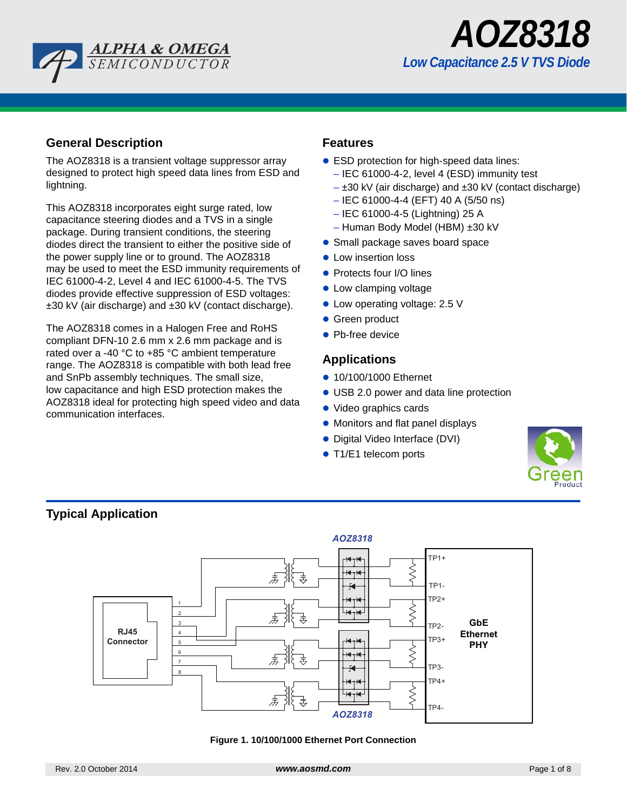



### **General Description**

The AOZ8318 is a transient voltage suppressor array designed to protect high speed data lines from ESD and lightning.

This AOZ8318 incorporates eight surge rated, low capacitance steering diodes and a TVS in a single package. During transient conditions, the steering diodes direct the transient to either the positive side of the power supply line or to ground. The AOZ8318 may be used to meet the ESD immunity requirements of IEC 61000-4-2, Level 4 and IEC 61000-4-5. The TVS diodes provide effective suppression of ESD voltages: ±30 kV (air discharge) and ±30 kV (contact discharge).

The AOZ8318 comes in a Halogen Free and RoHS compliant DFN-10 2.6 mm x 2.6 mm package and is rated over a -40 °C to +85 °C ambient temperature range. The AOZ8318 is compatible with both lead free and SnPb assembly techniques. The small size, low capacitance and high ESD protection makes the AOZ8318 ideal for protecting high speed video and data communication interfaces.

### **Features**

- ESD protection for high-speed data lines:
	- IEC 61000-4-2, level 4 (ESD) immunity test
	- $\pm$ 30 kV (air discharge) and  $\pm$ 30 kV (contact discharge)
	- IEC 61000-4-4 (EFT) 40 A (5/50 ns)
	- IEC 61000-4-5 (Lightning) 25 A
	- Human Body Model (HBM) ±30 kV
- Small package saves board space
- **Low insertion loss**
- Protects four I/O lines
- Low clamping voltage
- Low operating voltage: 2.5 V
- **Green product**
- Pb-free device

### **Applications**

- 10/100/1000 Ethernet
- USB 2.0 power and data line protection
- Video graphics cards
- Monitors and flat panel displays
- Digital Video Interface (DVI)
- T1/E1 telecom ports





#### **Figure 1. 10/100/1000 Ethernet Port Connection**

## **Typical Application**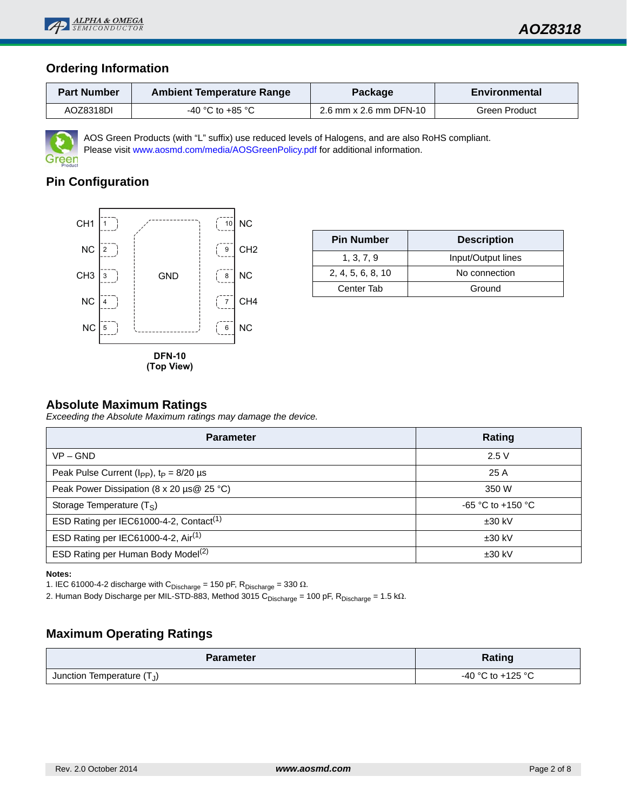

## **Ordering Information**

| <b>Part Number</b> | <b>Ambient Temperature Range</b> | Package                | <b>Environmental</b> |  |  |
|--------------------|----------------------------------|------------------------|----------------------|--|--|
| AOZ8318DI          | $-40$ °C to $+85$ °C             | 2.6 mm x 2.6 mm DFN-10 | Green Product        |  |  |



AOS Green Products (with "L" suffix) use reduced levels of Halogens, and are also RoHS compliant. Please visit www.aosmd.com/media/AOSGreenPolicy.pdf for additional information.

# **Pin Configuration**



| <b>Pin Number</b> | <b>Description</b> |
|-------------------|--------------------|
| 1, 3, 7, 9        | Input/Output lines |
| 2, 4, 5, 6, 8, 10 | No connection      |
| Center Tab        | Ground             |

### **Absolute Maximum Ratings**

*Exceeding the Absolute Maximum ratings may damage the device.*

| <b>Parameter</b>                                           | Rating              |
|------------------------------------------------------------|---------------------|
| $VP - GND$                                                 | 2.5V                |
| Peak Pulse Current ( $I_{\rm PP}$ ), $t_{\rm p} = 8/20$ µs | 25A                 |
| Peak Power Dissipation (8 x 20 µs@ 25 °C)                  | 350 W               |
| Storage Temperature $(T_S)$                                | $-65$ °C to +150 °C |
| ESD Rating per IEC61000-4-2, Contact <sup>(1)</sup>        | $±30$ kV            |
| ESD Rating per IEC61000-4-2, Air <sup>(1)</sup>            | $±30$ kV            |
| ESD Rating per Human Body Model <sup>(2)</sup>             | $±30$ kV            |

**Notes:**

1. IEC 61000-4-2 discharge with  $C_{Discharge}$  = 150 pF,  $R_{Discharge}$  = 330  $\Omega$ .

2. Human Body Discharge per MIL-STD-883, Method 3015 C<sub>Discharge</sub> = 100 pF, R<sub>Discharge</sub> = 1.5 kΩ.

### **Maximum Operating Ratings**

| <b>Parameter</b>             | Rating            |
|------------------------------|-------------------|
| Junction Temperature $(T_J)$ | -40 °C to +125 °C |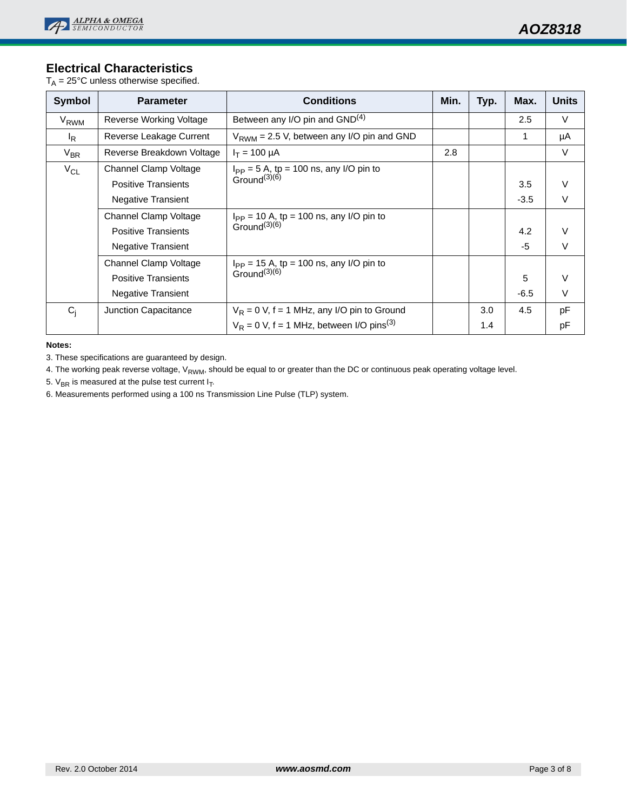## **Electrical Characteristics**

 $T_A = 25^{\circ}$ C unless otherwise specified.

| <b>Symbol</b>    | <b>Parameter</b>           | <b>Conditions</b>                                       | Min. | Typ. | Max.   | <b>Units</b> |
|------------------|----------------------------|---------------------------------------------------------|------|------|--------|--------------|
| V <sub>RWM</sub> | Reverse Working Voltage    | Between any I/O pin and GND <sup>(4)</sup>              |      |      | 2.5    | $\vee$       |
| $I_R$            | Reverse Leakage Current    | $V_{RWM}$ = 2.5 V, between any I/O pin and GND          |      |      | 1      | μA           |
| $V_{BR}$         | Reverse Breakdown Voltage  | $I_T = 100 \mu A$                                       | 2.8  |      |        | $\vee$       |
| $V_{CL}$         | Channel Clamp Voltage      | $I_{PP}$ = 5 A, tp = 100 ns, any I/O pin to             |      |      |        |              |
|                  | <b>Positive Transients</b> | Ground $(3)(6)$                                         |      |      | 3.5    | $\vee$       |
|                  | <b>Negative Transient</b>  |                                                         |      |      | $-3.5$ | V            |
|                  | Channel Clamp Voltage      | $I_{PP} = 10 A$ , tp = 100 ns, any I/O pin to           |      |      |        |              |
|                  | <b>Positive Transients</b> | Ground $(3)(6)$                                         |      |      | 4.2    |              |
|                  | <b>Negative Transient</b>  |                                                         |      |      | $-5$   | $\vee$       |
|                  | Channel Clamp Voltage      | $I_{PP}$ = 15 A, tp = 100 ns, any I/O pin to            |      |      |        |              |
|                  | <b>Positive Transients</b> | Ground $(3)(6)$                                         |      |      | 5      | V            |
|                  | <b>Negative Transient</b>  |                                                         |      |      | $-6.5$ | $\vee$       |
| $C_i$            | Junction Capacitance       | $V_R$ = 0 V, f = 1 MHz, any I/O pin to Ground           |      | 3.0  | 4.5    | pF           |
|                  |                            | $V_R$ = 0 V, f = 1 MHz, between I/O pins <sup>(3)</sup> |      | 1.4  |        | рF           |

**Notes:**

3. These specifications are guaranteed by design.

4. The working peak reverse voltage, V<sub>RWM</sub>, should be equal to or greater than the DC or continuous peak operating voltage level.

5.  $V_{BR}$  is measured at the pulse test current  $I_T$ .

6. Measurements performed using a 100 ns Transmission Line Pulse (TLP) system.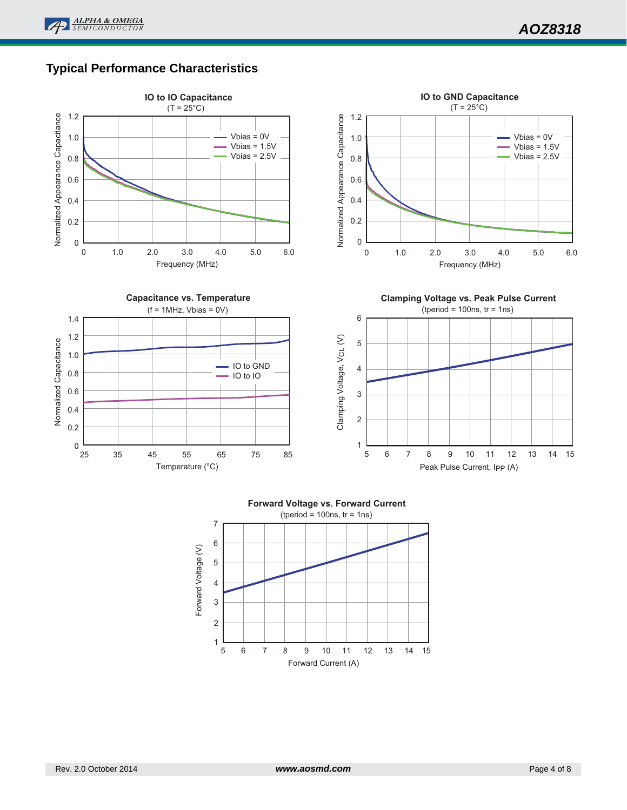# **Typical Performance Characteristics**





Rev. 2.0 October 2014 **by a gradient and a set of 8 www.aosmd.com** Page 4 of 8 **Page 4 of 8**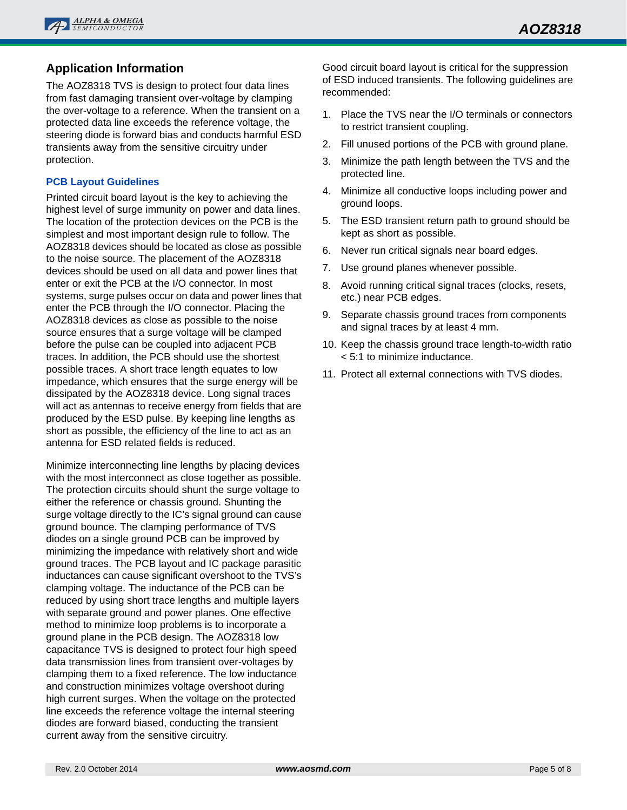

# **Application Information**

The AOZ8318 TVS is design to protect four data lines from fast damaging transient over-voltage by clamping the over-voltage to a reference. When the transient on a protected data line exceeds the reference voltage, the steering diode is forward bias and conducts harmful ESD transients away from the sensitive circuitry under protection.

#### **PCB Layout Guidelines**

Printed circuit board layout is the key to achieving the highest level of surge immunity on power and data lines. The location of the protection devices on the PCB is the simplest and most important design rule to follow. The AOZ8318 devices should be located as close as possible to the noise source. The placement of the AOZ8318 devices should be used on all data and power lines that enter or exit the PCB at the I/O connector. In most systems, surge pulses occur on data and power lines that enter the PCB through the I/O connector. Placing the AOZ8318 devices as close as possible to the noise source ensures that a surge voltage will be clamped before the pulse can be coupled into adjacent PCB traces. In addition, the PCB should use the shortest possible traces. A short trace length equates to low impedance, which ensures that the surge energy will be dissipated by the AOZ8318 device. Long signal traces will act as antennas to receive energy from fields that are produced by the ESD pulse. By keeping line lengths as short as possible, the efficiency of the line to act as an antenna for ESD related fields is reduced.

Minimize interconnecting line lengths by placing devices with the most interconnect as close together as possible. The protection circuits should shunt the surge voltage to either the reference or chassis ground. Shunting the surge voltage directly to the IC's signal ground can cause ground bounce. The clamping performance of TVS diodes on a single ground PCB can be improved by minimizing the impedance with relatively short and wide ground traces. The PCB layout and IC package parasitic inductances can cause significant overshoot to the TVS's clamping voltage. The inductance of the PCB can be reduced by using short trace lengths and multiple layers with separate ground and power planes. One effective method to minimize loop problems is to incorporate a ground plane in the PCB design. The AOZ8318 low capacitance TVS is designed to protect four high speed data transmission lines from transient over-voltages by clamping them to a fixed reference. The low inductance and construction minimizes voltage overshoot during high current surges. When the voltage on the protected line exceeds the reference voltage the internal steering diodes are forward biased, conducting the transient current away from the sensitive circuitry.

Good circuit board layout is critical for the suppression of ESD induced transients. The following guidelines are recommended:

- 1. Place the TVS near the I/O terminals or connectors to restrict transient coupling.
- 2. Fill unused portions of the PCB with ground plane.
- 3. Minimize the path length between the TVS and the protected line.
- 4. Minimize all conductive loops including power and ground loops.
- 5. The ESD transient return path to ground should be kept as short as possible.
- 6. Never run critical signals near board edges.
- 7. Use ground planes whenever possible.
- 8. Avoid running critical signal traces (clocks, resets, etc.) near PCB edges.
- 9. Separate chassis ground traces from components and signal traces by at least 4 mm.
- 10. Keep the chassis ground trace length-to-width ratio < 5:1 to minimize inductance.
- 11. Protect all external connections with TVS diodes.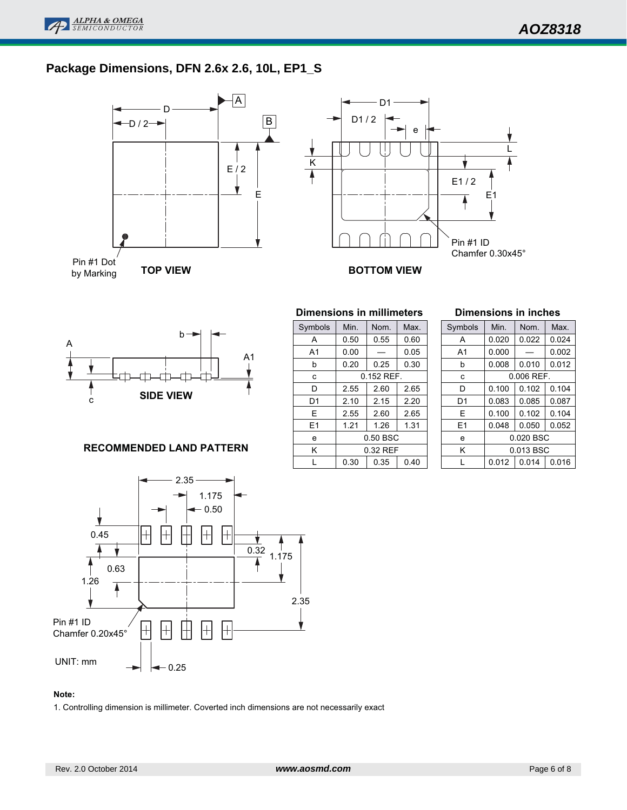

# **Package Dimensions, DFN 2.6x 2.6, 10L, EP1\_S**





| Symbols        | Min.         | Nom. | Max. |  |  |
|----------------|--------------|------|------|--|--|
| Α              | 0.50         | 0.55 | 0.60 |  |  |
| A <sub>1</sub> | 0.00         |      | 0.05 |  |  |
| b              | 0.20         | 0.25 | 0.30 |  |  |
| C              | $0.152$ REF. |      |      |  |  |
| D              | 2.55         | 2.60 | 2.65 |  |  |
| D1             | 2.10         | 2.15 | 2.20 |  |  |
| E              | 2.55         | 2.60 | 2.65 |  |  |
| E1             | 1.21         | 1.26 | 1.31 |  |  |
| e              | 0.50 BSC     |      |      |  |  |
| Κ              | 0.32 REF     |      |      |  |  |
|                | 0.30         | 0.35 | 0.40 |  |  |

**Dimensions in millimeters**

#### **Dimensions in inches**

| Symbols        | Min.      | Nom.         | Max.  |  |
|----------------|-----------|--------------|-------|--|
| A              | 0.020     | 0.022        | 0.024 |  |
| A <sub>1</sub> | 0.000     |              | 0.002 |  |
| h              | 0.008     | 0.010        | 0.012 |  |
| C              |           | $0.006$ REF. |       |  |
| D              | 0.100     | 0.102        | 0.104 |  |
| D <sub>1</sub> | 0.083     | 0.085        | 0.087 |  |
| E              | 0.100     | 0.102        | 0.104 |  |
| E1             | 0.048     | 0.050        | 0.052 |  |
| e              | 0.020 BSC |              |       |  |
| Κ              | 0.013 BSC |              |       |  |
| L              | 0.012     | 0.014        | 0.016 |  |

#### **RECOMMENDED LAND PATTERN**



#### **Note:**

1. Controlling dimension is millimeter. Coverted inch dimensions are not necessarily exact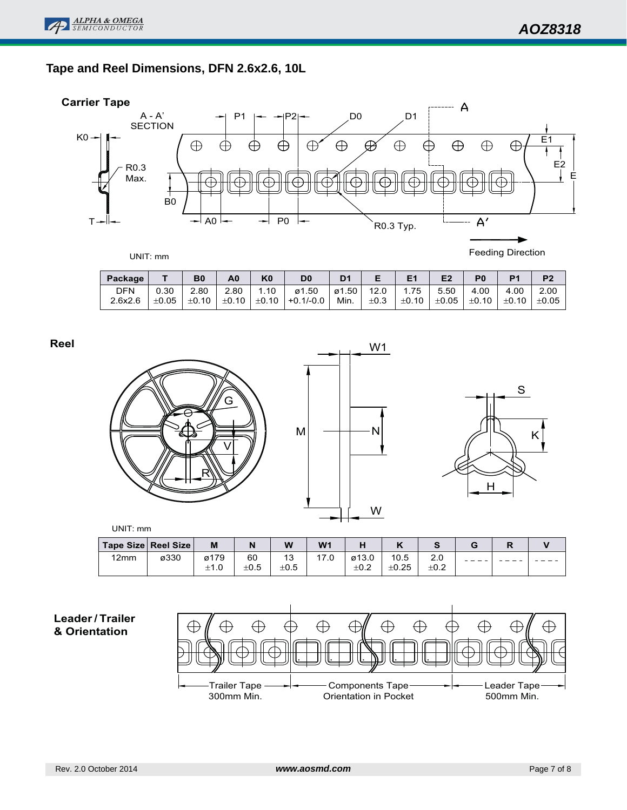## **Tape and Reel Dimensions, DFN 2.6x2.6, 10L**

![](_page_6_Figure_3.jpeg)

| UNIT: mm |  |  |  |
|----------|--|--|--|
|----------|--|--|--|

Feeding Direction

| Package    |            | B <sub>0</sub> | A0            | K <sub>0</sub> | D <sub>0</sub>                          | D <sub>1</sub> |           | E1                                     | E2   | P <sub>0</sub> | P <sub>1</sub> | P <sub>2</sub> |
|------------|------------|----------------|---------------|----------------|-----------------------------------------|----------------|-----------|----------------------------------------|------|----------------|----------------|----------------|
| <b>DFN</b> | 0.30       | 2.80           | 2.80          | 1.10           | ø1.50                                   | ø1.50   12.0   |           | $^{\prime}$ 1.75                       | 5.50 | 4.00           | 4.00           | 2.00           |
| 2.6x2.6    | $\pm 0.05$ | $\pm 0.10$     | $+0.10$ $\pm$ |                | $\vert$ ±0.10 $\vert$ +0.1/-0.0 $\vert$ | Min. l         | $\pm 0.3$ | $\pm 0.10$ $\pm 0.05$ $\pm 0.10$ $\pm$ |      |                | $ \pm 0.10 $   | $\pm 0.05$     |

**Reel**

![](_page_6_Figure_8.jpeg)

![](_page_6_Figure_9.jpeg)

![](_page_6_Figure_10.jpeg)

 $- - - -$ 

 $- - - -$ 

UNIT: mm **Tape Size Reel Size M N W W1 H K S GR V** 12mm ø330 ø179 60 13 17.0 ø13.0 10.5 2.0  $- - ±1.0$  $±0.5$  $±0.5$  $±0.2$  $\pm$ 0.25  $±0.2$ 

### **Leader/ Trailer & Orientation**

![](_page_6_Figure_13.jpeg)